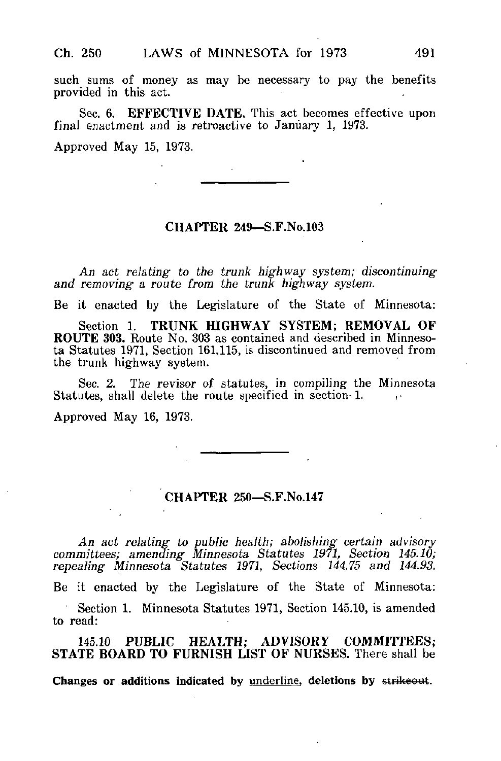such sums of money as may be necessary to pay the benefits provided in this act.

Sec. 6. EFFECTIVE DATE. This act becomes effective upon final enactment and is retroactive to Janúary 1, 1973.

Approved May 15, 1973.

## CHAPTER 249—S.F.No.103

An act relating to the trunk highway system; discontinuing and removing a route from the trunk highway system.

Be it enacted by the Legislature of the State of Minnesota:

Section 1. TRUNK HIGHWAY SYSTEM; REMOVAL OF ROUTE 303. Route No. 303 as contained and described in Minnesota Statutes 1971, Section 161,115, is discontinued and removed from the trunk highway system.

Sec. 2. The revisor of statutes, in compiling the Minnesota Statutes, shall delete the route specified in section-1.

Approved May 16, 1973.

## CHAPTER 250—S.F.No.147

An act relating to public health; abolishing certain advisory committees; amending Minnesota Statutes 1971, Section 145.10; repealing Minnesota Statutes 1971, Sections 144.75 and 144.93. Be it enacted by the Legislature of the State of Minnesota: Section 1. Minnesota Statutes 1971, Section 145.10, is amended to read: 145.10 PUBLIC HEALTH; ADVISORY COMMITTEES;

STATE BOARD TO FURNISH LIST OF NURSES. There shall be

Changes or additions indicated by underline, deletions by strikeout.